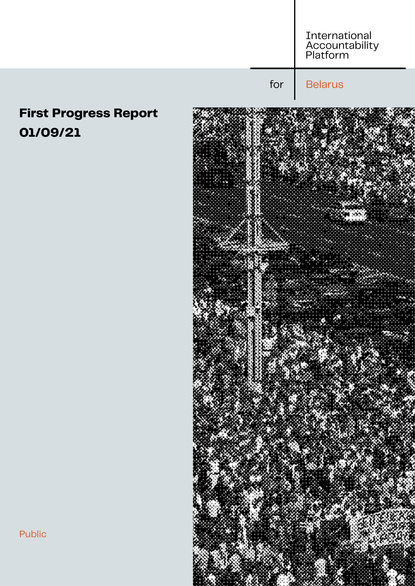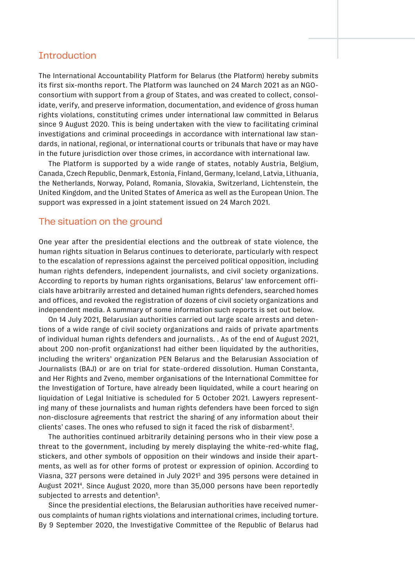### **Introduction**

The International Accountability Platform for Belarus (the Platform) hereby submits its first six-months report. The Platform was launched on 24 March 2021 as an NGOconsortium with support from a group of States, and was created to collect, consolidate, verify, and preserve information, documentation, and evidence of gross human rights violations, constituting crimes under international law committed in Belarus since 9 August 2020. This is being undertaken with the view to facilitating criminal investigations and criminal proceedings in accordance with international law standards, in national, regional, or international courts or tribunals that have or may have in the future jurisdiction over those crimes, in accordance with international law.

The Platform is supported by a wide range of states, notably Austria, Belgium, Canada, Czech Republic, Denmark, Estonia, Finland, Germany, Iceland, Latvia, Lithuania, the Netherlands, Norway, Poland, Romania, Slovakia, Switzerland, Lichtenstein, the United Kingdom, and the United States of America as well as the European Union. The support was expressed in a joint statement issued on 24 March 2021.

#### The situation on the ground

One year after the presidential elections and the outbreak of state violence, the human rights situation in Belarus continues to deteriorate, particularly with respect to the escalation of repressions against the perceived political opposition, including human rights defenders, independent journalists, and civil society organizations. According to reports by human rights organisations, Belarus' law enforcement officials have arbitrarily arrested and detained human rights defenders, searched homes and offices, and revoked the registration of dozens of civil society organizations and independent media. A summary of some information such reports is set out below.

On 14 July 2021, Belarusian authorities carried out large scale arrests and detentions of a wide range of civil society organizations and raids of private apartments of individual human rights defenders and journalists. . As of the end of August 2021, about 200 non-profit organizations1 had either been liquidated by the authorities, including the writers' organization PEN Belarus and the Belarusian Association of Journalists (BAJ) or are on trial for state-ordered dissolution. Human Constanta, and Her Rights and Zveno, member organisations of the International Committee for the Investigation of Torture, have already been liquidated, while a court hearing on liquidation of Legal Initiative is scheduled for 5 October 2021. Lawyers representing many of these journalists and human rights defenders have been forced to sign non-disclosure agreements that restrict the sharing of any information about their clients' cases. The ones who refused to sign it faced the risk of disbarment<sup>2</sup>.

The authorities continued arbitrarily detaining persons who in their view pose a threat to the government, including by merely displaying the white-red-white flag, stickers, and other symbols of opposition on their windows and inside their apartments, as well as for other forms of protest or expression of opinion. According to Viasna, 327 persons were detained in July 20213 and 395 persons were detained in August 20214 . Since August 2020, more than 35,000 persons have been reportedly subjected to arrests and detention<sup>5</sup>.

Since the presidential elections, the Belarusian authorities have received numerous complaints of human rights violations and international crimes, including torture. By 9 September 2020, the Investigative Committee of the Republic of Belarus had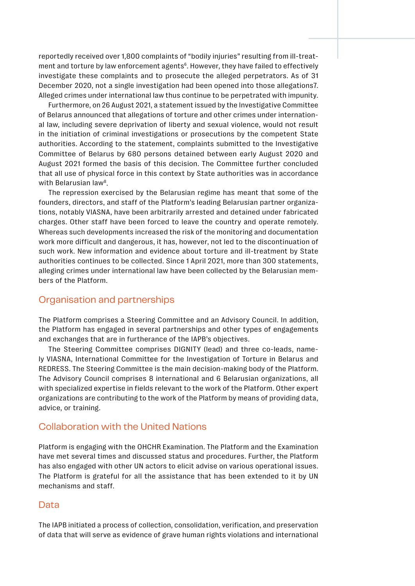reportedly received over 1,800 complaints of "bodily injuries" resulting from ill-treatment and torture by law enforcement agents<sup>6</sup>. However, they have failed to effectively investigate these complaints and to prosecute the alleged perpetrators. As of 31 December 2020, not a single investigation had been opened into those allegations7. Alleged crimes under international law thus continue to be perpetrated with impunity.

Furthermore, on 26 August 2021, a statement issued by the Investigative Committee of Belarus announced that allegations of torture and other crimes under international law, including severe deprivation of liberty and sexual violence, would not result in the initiation of criminal investigations or prosecutions by the competent State authorities. According to the statement, complaints submitted to the Investigative Committee of Belarus by 680 persons detained between early August 2020 and August 2021 formed the basis of this decision. The Committee further concluded that all use of physical force in this context by State authorities was in accordance with Belarusian law<sup>8</sup>.

The repression exercised by the Belarusian regime has meant that some of the founders, directors, and staff of the Platform's leading Belarusian partner organizations, notably VIASNA, have been arbitrarily arrested and detained under fabricated charges. Other staff have been forced to leave the country and operate remotely. Whereas such developments increased the risk of the monitoring and documentation work more difficult and dangerous, it has, however, not led to the discontinuation of such work. New information and evidence about torture and ill-treatment by State authorities continues to be collected. Since 1 April 2021, more than 300 statements, alleging crimes under international law have been collected by the Belarusian members of the Platform.

# Organisation and partnerships

The Platform comprises a Steering Committee and an Advisory Council. In addition, the Platform has engaged in several partnerships and other types of engagements and exchanges that are in furtherance of the IAPB's objectives.

The Steering Committee comprises DIGNITY (lead) and three co-leads, namely VIASNA, International Committee for the Investigation of Torture in Belarus and REDRESS. The Steering Committee is the main decision-making body of the Platform. The Advisory Council comprises 8 international and 6 Belarusian organizations, all with specialized expertise in fields relevant to the work of the Platform. Other expert organizations are contributing to the work of the Platform by means of providing data, advice, or training.

## Collaboration with the United Nations

Platform is engaging with the OHCHR Examination. The Platform and the Examination have met several times and discussed status and procedures. Further, the Platform has also engaged with other UN actors to elicit advise on various operational issues. The Platform is grateful for all the assistance that has been extended to it by UN mechanisms and staff.

### Data

The IAPB initiated a process of collection, consolidation, verification, and preservation of data that will serve as evidence of grave human rights violations and international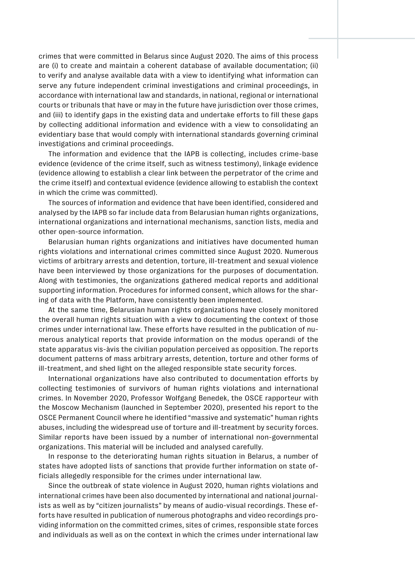crimes that were committed in Belarus since August 2020. The aims of this process are (i) to create and maintain a coherent database of available documentation; (ii) to verify and analyse available data with a view to identifying what information can serve any future independent criminal investigations and criminal proceedings, in accordance with international law and standards, in national, regional or international courts or tribunals that have or may in the future have jurisdiction over those crimes, and (iii) to identify gaps in the existing data and undertake efforts to fill these gaps by collecting additional information and evidence with a view to consolidating an evidentiary base that would comply with international standards governing criminal investigations and criminal proceedings.

The information and evidence that the IAPB is collecting, includes crime-base evidence (evidence of the crime itself, such as witness testimony), linkage evidence (evidence allowing to establish a clear link between the perpetrator of the crime and the crime itself) and contextual evidence (evidence allowing to establish the context in which the crime was committed).

The sources of information and evidence that have been identified, considered and analysed by the IAPB so far include data from Belarusian human rights organizations, international organizations and international mechanisms, sanction lists, media and other open-source information.

Belarusian human rights organizations and initiatives have documented human rights violations and international crimes committed since August 2020. Numerous victims of arbitrary arrests and detention, torture, ill-treatment and sexual violence have been interviewed by those organizations for the purposes of documentation. Along with testimonies, the organizations gathered medical reports and additional supporting information. Procedures for informed consent, which allows for the sharing of data with the Platform, have consistently been implemented.

At the same time, Belarusian human rights organizations have closely monitored the overall human rights situation with a view to documenting the context of those crimes under international law. These efforts have resulted in the publication of numerous analytical reports that provide information on the modus operandi of the state apparatus vis-àvis the civilian population perceived as opposition. The reports document patterns of mass arbitrary arrests, detention, torture and other forms of ill-treatment, and shed light on the alleged responsible state security forces.

International organizations have also contributed to documentation efforts by collecting testimonies of survivors of human rights violations and international crimes. In November 2020, Professor Wolfgang Benedek, the OSCE rapporteur with the Moscow Mechanism (launched in September 2020), presented his report to the OSCE Permanent Council where he identified "massive and systematic" human rights abuses, including the widespread use of torture and ill-treatment by security forces. Similar reports have been issued by a number of international non-governmental organizations. This material will be included and analysed carefully.

In response to the deteriorating human rights situation in Belarus, a number of states have adopted lists of sanctions that provide further information on state officials allegedly responsible for the crimes under international law.

Since the outbreak of state violence in August 2020, human rights violations and international crimes have been also documented by international and national journalists as well as by "citizen journalists" by means of audio-visual recordings. These efforts have resulted in publication of numerous photographs and video recordings providing information on the committed crimes, sites of crimes, responsible state forces and individuals as well as on the context in which the crimes under international law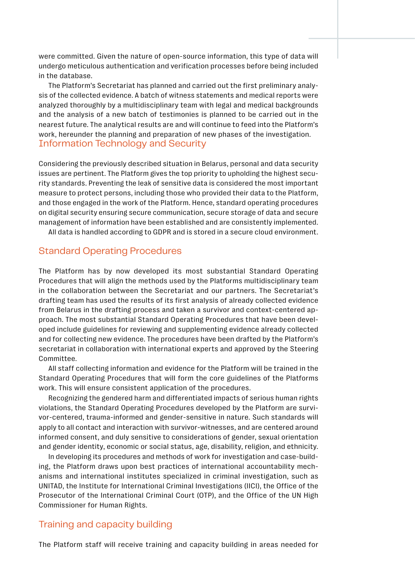were committed. Given the nature of open-source information, this type of data will undergo meticulous authentication and verification processes before being included in the database.

The Platform's Secretariat has planned and carried out the first preliminary analysis of the collected evidence. A batch of witness statements and medical reports were analyzed thoroughly by a multidisciplinary team with legal and medical backgrounds and the analysis of a new batch of testimonies is planned to be carried out in the nearest future. The analytical results are and will continue to feed into the Platform's work, hereunder the planning and preparation of new phases of the investigation. Information Technology and Security

Considering the previously described situation in Belarus, personal and data security issues are pertinent. The Platform gives the top priority to upholding the highest security standards. Preventing the leak of sensitive data is considered the most important measure to protect persons, including those who provided their data to the Platform, and those engaged in the work of the Platform. Hence, standard operating procedures on digital security ensuring secure communication, secure storage of data and secure management of information have been established and are consistently implemented.

All data is handled according to GDPR and is stored in a secure cloud environment.

## Standard Operating Procedures

The Platform has by now developed its most substantial Standard Operating Procedures that will align the methods used by the Platforms multidisciplinary team in the collaboration between the Secretariat and our partners. The Secretariat's drafting team has used the results of its first analysis of already collected evidence from Belarus in the drafting process and taken a survivor and context-centered approach. The most substantial Standard Operating Procedures that have been developed include guidelines for reviewing and supplementing evidence already collected and for collecting new evidence. The procedures have been drafted by the Platform's secretariat in collaboration with international experts and approved by the Steering Committee.

All staff collecting information and evidence for the Platform will be trained in the Standard Operating Procedures that will form the core guidelines of the Platforms work. This will ensure consistent application of the procedures.

Recognizing the gendered harm and differentiated impacts of serious human rights violations, the Standard Operating Procedures developed by the Platform are survivor-centered, trauma-informed and gender-sensitive in nature. Such standards will apply to all contact and interaction with survivor-witnesses, and are centered around informed consent, and duly sensitive to considerations of gender, sexual orientation and gender identity, economic or social status, age, disability, religion, and ethnicity.

In developing its procedures and methods of work for investigation and case-building, the Platform draws upon best practices of international accountability mechanisms and international institutes specialized in criminal investigation, such as UNITAD, the Institute for International Criminal Investigations (IICI), the Office of the Prosecutor of the International Criminal Court (OTP), and the Office of the UN High Commissioner for Human Rights.

#### Training and capacity building

The Platform staff will receive training and capacity building in areas needed for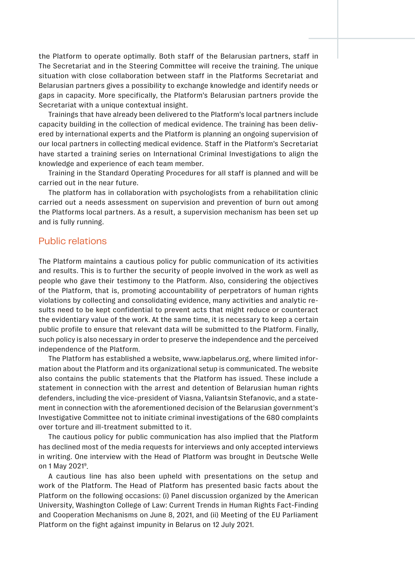the Platform to operate optimally. Both staff of the Belarusian partners, staff in The Secretariat and in the Steering Committee will receive the training. The unique situation with close collaboration between staff in the Platforms Secretariat and Belarusian partners gives a possibility to exchange knowledge and identify needs or gaps in capacity. More specifically, the Platform's Belarusian partners provide the Secretariat with a unique contextual insight.

Trainings that have already been delivered to the Platform's local partners include capacity building in the collection of medical evidence. The training has been delivered by international experts and the Platform is planning an ongoing supervision of our local partners in collecting medical evidence. Staff in the Platform's Secretariat have started a training series on International Criminal Investigations to align the knowledge and experience of each team member.

Training in the Standard Operating Procedures for all staff is planned and will be carried out in the near future.

The platform has in collaboration with psychologists from a rehabilitation clinic carried out a needs assessment on supervision and prevention of burn out among the Platforms local partners. As a result, a supervision mechanism has been set up and is fully running.

## Public relations

The Platform maintains a cautious policy for public communication of its activities and results. This is to further the security of people involved in the work as well as people who gave their testimony to the Platform. Also, considering the objectives of the Platform, that is, promoting accountability of perpetrators of human rights violations by collecting and consolidating evidence, many activities and analytic results need to be kept confidential to prevent acts that might reduce or counteract the evidentiary value of the work. At the same time, it is necessary to keep a certain public profile to ensure that relevant data will be submitted to the Platform. Finally, such policy is also necessary in order to preserve the independence and the perceived independence of the Platform.

The Platform has established a website, [www.iapbelarus.org](http://www.iapbelarus.org), where limited information about the Platform and its organizational setup is communicated. The website also contains the public statements that the Platform has issued. These include a statement in connection with the arrest and detention of Belarusian human rights defenders, including the vice-president of Viasna, Valiantsin Stefanovic, and a statement in connection with the aforementioned decision of the Belarusian government's Investigative Committee not to initiate criminal investigations of the 680 complaints over torture and ill-treatment submitted to it.

The cautious policy for public communication has also implied that the Platform has declined most of the media requests for interviews and only accepted interviews in writing. One interview with the Head of Platform was brought in Deutsche Welle on 1 May 20219.

A cautious line has also been upheld with presentations on the setup and work of the Platform. The Head of Platform has presented basic facts about the Platform on the following occasions: (i) Panel discussion organized by the American University, Washington College of Law: Current Trends in Human Rights Fact-Finding and Cooperation Mechanisms on June 8, 2021, and (ii) Meeting of the EU Parliament Platform on the fight against impunity in Belarus on 12 July 2021.